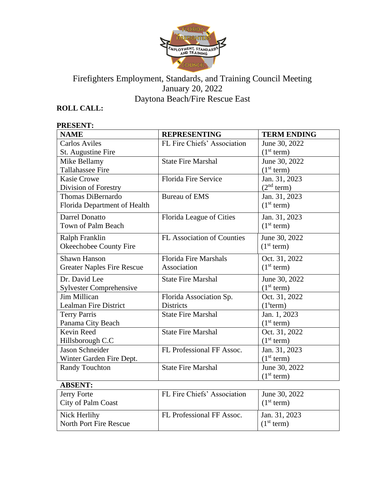

# Firefighters Employment, Standards, and Training Council Meeting January 20, 2022 Daytona Beach/Fire Rescue East

## **ROLL CALL:**

### **PRESENT:**

| <b>NAME</b>                       | <b>REPRESENTING</b>          | <b>TERM ENDING</b>     |
|-----------------------------------|------------------------------|------------------------|
| <b>Carlos Aviles</b>              | FL Fire Chiefs' Association  | June 30, 2022          |
| St. Augustine Fire                |                              | (1 <sup>st</sup> term) |
| Mike Bellamy                      | <b>State Fire Marshal</b>    | June 30, 2022          |
| Tallahassee Fire                  |                              | (1 <sup>st</sup> term) |
| <b>Kasie Crowe</b>                | <b>Florida Fire Service</b>  | Jan. 31, 2023          |
| Division of Forestry              |                              | (2 <sup>nd</sup> term) |
| Thomas DiBernardo                 | <b>Bureau of EMS</b>         | Jan. 31, 2023          |
| Florida Department of Health      |                              | (1 <sup>st</sup> term) |
| Darrel Donatto                    | Florida League of Cities     | Jan. 31, 2023          |
| <b>Town of Palm Beach</b>         |                              | (1 <sup>st</sup> term) |
| Ralph Franklin                    | FL Association of Counties   | June 30, 2022          |
| Okeechobee County Fire            |                              | (1 <sup>st</sup> term) |
| <b>Shawn Hanson</b>               | <b>Florida Fire Marshals</b> | Oct. 31, 2022          |
| <b>Greater Naples Fire Rescue</b> | Association                  | (1 <sup>st</sup> term) |
| Dr. David Lee                     | <b>State Fire Marshal</b>    | June 30, 2022          |
| <b>Sylvester Comprehensive</b>    |                              | (1 <sup>st</sup> term) |
| Jim Millican                      | Florida Association Sp.      | Oct. 31, 2022          |
| <b>Lealman Fire District</b>      | <b>Districts</b>             | (1 <sup>s</sup> term)  |
| <b>Terry Parris</b>               | <b>State Fire Marshal</b>    | Jan. 1, 2023           |
| Panama City Beach                 |                              | (1 <sup>st</sup> term) |
| <b>Kevin Reed</b>                 | <b>State Fire Marshal</b>    | Oct. 31, 2022          |
| Hillsborough C.C                  |                              | (1 <sup>st</sup> term) |
| <b>Jason Schneider</b>            | FL Professional FF Assoc.    | Jan. 31, 2023          |
| Winter Garden Fire Dept.          |                              | (1 <sup>st</sup> term) |
| <b>Randy Touchton</b>             | <b>State Fire Marshal</b>    | June 30, 2022          |
|                                   |                              | (1 <sup>st</sup> term) |
| <b>ABSENT:</b>                    |                              |                        |
| Jerry Forte                       | FL Fire Chiefs' Association  | June 30, 2022          |
| City of Palm Coast                |                              | (1 <sup>st</sup> term) |
| Nick Herlihy                      | FL Professional FF Assoc.    | Jan. 31, 2023          |
| North Port Fire Rescue            |                              | (1 <sup>st</sup> term) |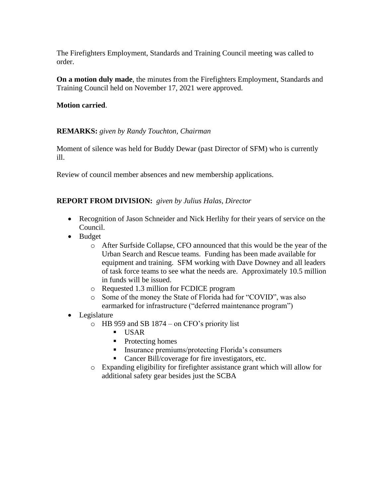The Firefighters Employment, Standards and Training Council meeting was called to order.

**On a motion duly made**, the minutes from the Firefighters Employment, Standards and Training Council held on November 17, 2021 were approved.

### **Motion carried**.

### **REMARKS:** *given by Randy Touchton, Chairman*

Moment of silence was held for Buddy Dewar (past Director of SFM) who is currently ill.

Review of council member absences and new membership applications.

### **REPORT FROM DIVISION:** *given by Julius Halas, Director*

- Recognition of Jason Schneider and Nick Herlihy for their years of service on the Council.
- Budget
	- o After Surfside Collapse, CFO announced that this would be the year of the Urban Search and Rescue teams. Funding has been made available for equipment and training. SFM working with Dave Downey and all leaders of task force teams to see what the needs are. Approximately 10.5 million in funds will be issued.
	- o Requested 1.3 million for FCDICE program
	- o Some of the money the State of Florida had for "COVID", was also earmarked for infrastructure ("deferred maintenance program")
- Legislature
	- o HB 959 and SB 1874 on CFO's priority list
		- USAR
		- Protecting homes
		- **Exercise 1** Insurance premiums/protecting Florida's consumers
		- Cancer Bill/coverage for fire investigators, etc.
	- o Expanding eligibility for firefighter assistance grant which will allow for additional safety gear besides just the SCBA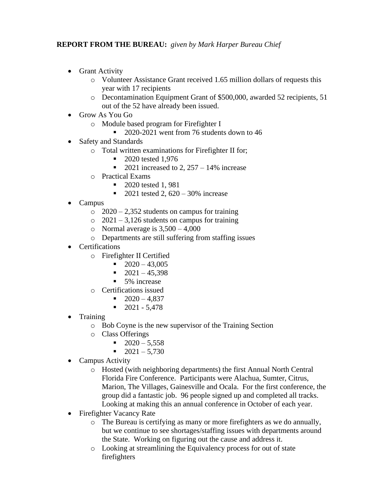## **REPORT FROM THE BUREAU:** *given by Mark Harper Bureau Chief*

- Grant Activity
	- o Volunteer Assistance Grant received 1.65 million dollars of requests this year with 17 recipients
	- o Decontamination Equipment Grant of \$500,000, awarded 52 recipients, 51 out of the 52 have already been issued.
- Grow As You Go
	- o Module based program for Firefighter I
		- 2020-2021 went from 76 students down to 46
- Safety and Standards
	- o Total written examinations for Firefighter II for;
		- 2020 tested 1,976
		- 2021 increased to 2,  $257 14\%$  increase
	- o Practical Exams
		- 2020 tested 1, 981
		- 2021 tested 2,  $620 30\%$  increase
- Campus
	- $\degree$  2020 2,352 students on campus for training
	- $\degree$  2021 3,126 students on campus for training
	- o Normal average is  $3,500 4,000$
	- o Departments are still suffering from staffing issues
- Certifications
	- o Firefighter II Certified
		- $\blacksquare$  2020 43,005
		- $\blacksquare$  2021 45,398
		- 5% increase
	- o Certifications issued
		- $\blacksquare$  2020 4,837
		- $\blacksquare$  2021 5,478
- Training
	- o Bob Coyne is the new supervisor of the Training Section
	- o Class Offerings
		- $\blacksquare$  2020 5,558
		- $\blacksquare$  2021 5,730
- Campus Activity
	- o Hosted (with neighboring departments) the first Annual North Central Florida Fire Conference. Participants were Alachua, Sumter, Citrus, Marion, The Villages, Gainesville and Ocala. For the first conference, the group did a fantastic job. 96 people signed up and completed all tracks. Looking at making this an annual conference in October of each year.
- Firefighter Vacancy Rate
	- o The Bureau is certifying as many or more firefighters as we do annually, but we continue to see shortages/staffing issues with departments around the State. Working on figuring out the cause and address it.
	- o Looking at streamlining the Equivalency process for out of state firefighters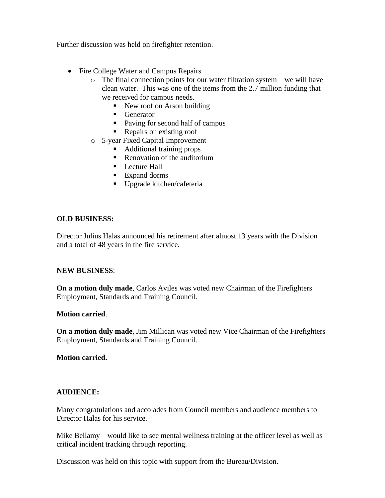Further discussion was held on firefighter retention.

- Fire College Water and Campus Repairs
	- $\circ$  The final connection points for our water filtration system we will have clean water. This was one of the items from the 2.7 million funding that we received for campus needs.
		- New roof on Arson building
		- Generator
		- Paving for second half of campus
		- Repairs on existing roof
	- o 5-year Fixed Capital Improvement
		- Additional training props
		- Renovation of the auditorium
		- Lecture Hall
		- Expand dorms
		- Upgrade kitchen/cafeteria

#### **OLD BUSINESS:**

Director Julius Halas announced his retirement after almost 13 years with the Division and a total of 48 years in the fire service.

#### **NEW BUSINESS**:

**On a motion duly made**, Carlos Aviles was voted new Chairman of the Firefighters Employment, Standards and Training Council.

#### **Motion carried**.

**On a motion duly made**, Jim Millican was voted new Vice Chairman of the Firefighters Employment, Standards and Training Council.

#### **Motion carried.**

#### **AUDIENCE:**

Many congratulations and accolades from Council members and audience members to Director Halas for his service.

Mike Bellamy – would like to see mental wellness training at the officer level as well as critical incident tracking through reporting.

Discussion was held on this topic with support from the Bureau/Division.